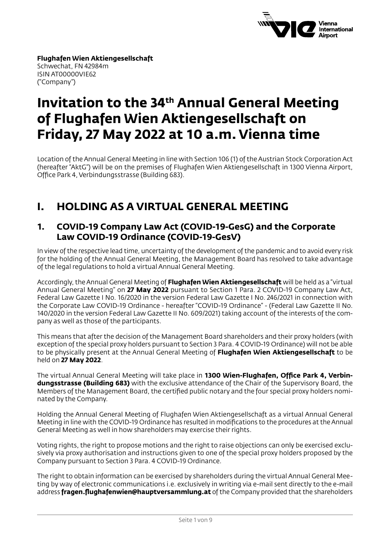

**Flughafen Wien Aktiengesellschaft** Schwechat, FN 42984m ISIN AT00000VIE62 ("Company")

# **Invitation to the 34th Annual General Meeting of Flughafen Wien Aktiengesellschaft on Friday, 27 May 2022 at 10 a.m. Vienna time**

Location of the Annual General Meeting in line with Section 106 (1) of the Austrian Stock Corporation Act (hereafter "AktG") will be on the premises of Flughafen Wien Aktiengesellschaft in 1300 Vienna Airport, Office Park 4, Verbindungsstrasse (Building 683).

# **I. HOLDING AS A VIRTUAL GENERAL MEETING**

#### **1. COVID-19 Company Law Act (COVID-19-GesG) and the Corporate Law COVID-19 Ordinance (COVID-19-GesV)**

In view of the respective lead time, uncertainty of the development of the pandemic and to avoid every risk for the holding of the Annual General Meeting, the Management Board has resolved to take advantage of the legal regulations to hold a virtual Annual General Meeting.

Accordingly, the Annual General Meeting of **Flughafen Wien Aktiengesellschaft** will be held as a "virtual Annual General Meeting" on **27 May 2022** pursuant to Section 1 Para. 2 COVID-19 Company Law Act, Federal Law Gazette I No. 16/2020 in the version Federal Law Gazette I No. 246/2021 in connection with the Corporate Law COVID-19 Ordinance - hereafter "COVID-19 Ordinance" - (Federal Law Gazette II No. 140/2020 in the version Federal Law Gazette II No. 609/2021) taking account of the interests of the company as well as those of the participants.

This means that after the decision of the Management Board shareholders and their proxy holders (with exception of the special proxy holders pursuant to Section 3 Para. 4 COVID-19 Ordinance) will not be able to be physically present at the Annual General Meeting of **Flughafen Wien Aktiengesellschaft** to be held on **27 May 2022**.

The virtual Annual General Meeting will take place in **1300 Wien-Flughafen, Office Park 4, Verbindungsstrasse (Building 683)** with the exclusive attendance of the Chair of the Supervisory Board, the Members of the Management Board, the certified public notary and the four special proxy holders nominated by the Company.

Holding the Annual General Meeting of Flughafen Wien Aktiengesellschaft as a virtual Annual General Meeting in line with the COVID-19 Ordinance has resulted in modifications to the procedures at the Annual General Meeting as well in how shareholders may exercise their rights.

Voting rights, the right to propose motions and the right to raise objections can only be exercised exclusively via proxy authorisation and instructions given to one of the special proxy holders proposed by the Company pursuant to Section 3 Para. 4 COVID-19 Ordinance.

The right to obtain information can be exercised by shareholders during the virtual Annual General Meeting by way of electronic communications i.e. exclusively in writing via e-mail sent directly to the e-mail address **fragen.flughafenwien@hauptversammlung.at** of the Company provided that the shareholders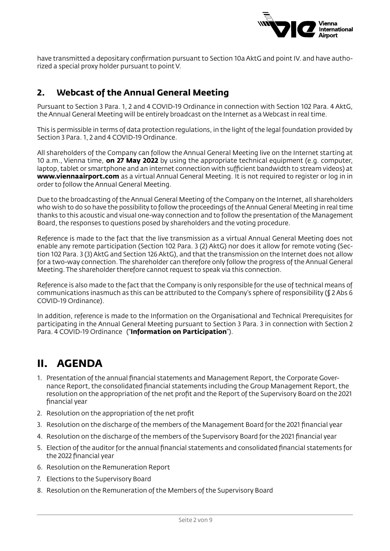

have transmitted a depositary confirmation pursuant to Section 10a AktG and point IV. and have authorized a special proxy holder pursuant to point V.

### **2. Webcast of the Annual General Meeting**

Pursuant to Section 3 Para. 1, 2 and 4 COVID-19 Ordinance in connection with Section 102 Para. 4 AktG, the Annual General Meeting will be entirely broadcast on the Internet as a Webcast in real time.

This is permissible in terms of data protection regulations, in the light of the legal foundation provided by Section 3 Para. 1, 2 and 4 COVID-19 Ordinance.

All shareholders of the Company can follow the Annual General Meeting live on the Internet starting at 10 a.m., Vienna time, **on 27 May 2022** by using the appropriate technical equipment (e.g. computer, laptop, tablet or smartphone and an internet connection with sufficient bandwidth to stream videos) at **www.viennaairport.com** as a virtual Annual General Meeting. It is not required to register or log in in order to follow the Annual General Meeting.

Due to the broadcasting of the Annual General Meeting of the Company on the Internet, all shareholders who wish to do so have the possibility to follow the proceedings of the Annual General Meeting in real time thanks to this acoustic and visual one-way connection and to follow the presentation of the Management Board, the responses to questions posed by shareholders and the voting procedure.

Reference is made to the fact that the live transmission as a virtual Annual General Meeting does not enable any remote participation (Section 102 Para. 3 (2) AktG) nor does it allow for remote voting (Section 102 Para. 3 (3) AktG and Section 126 AktG), and that the transmission on the Internet does not allow for a two-way connection. The shareholder can therefore only follow the progress of the Annual General Meeting. The shareholder therefore cannot request to speak via this connection.

Reference is also made to the fact that the Company is only responsible for the use of technical means of communications inasmuch as this can be attributed to the Company's sphere of responsibility (§ 2 Abs 6 COVID-19 Ordinance).

In addition, reference is made to the Information on the Organisational and Technical Prerequisites for participating in the Annual General Meeting pursuant to Section 3 Para. 3 in connection with Section 2 Para. 4 COVID-19 Ordinance ("**Information on Participation**").

# **II. AGENDA**

- 1. Presentation of the annual financial statements and Management Report, the Corporate Governance Report, the consolidated financial statements including the Group Management Report, the resolution on the appropriation of the net profit and the Report of the Supervisory Board on the 2021 financial year
- 2. Resolution on the appropriation of the net profit
- 3. Resolution on the discharge of the members of the Management Board for the 2021 financial year
- 4. Resolution on the discharge of the members of the Supervisory Board for the 2021 financial year
- 5. Election of the auditor for the annual financial statements and consolidated financial statements for the 2022 financial year
- 6. Resolution on the Remuneration Report
- 7. Elections to the Supervisory Board
- 8. Resolution on the Remuneration of the Members of the Supervisory Board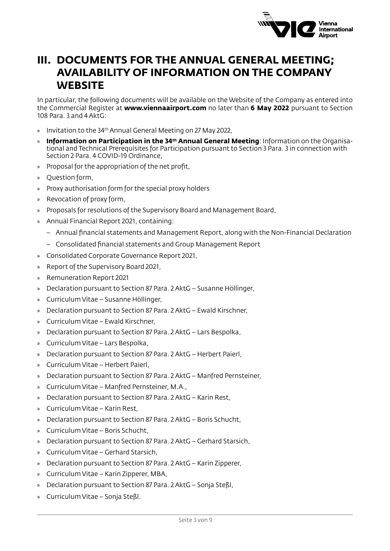

### **III. DOCUMENTS FOR THE ANNUAL GENERAL MEETING; AVAILABILITY OF INFORMATION ON THE COMPANY WEBSITE**

In particular, the following documents will be available on the Website of the Company as entered into the Commercial Register at **www.viennaairport.com** no later than **6 May 2022** pursuant to Section 108 Para. 3 and 4 AktG:

- » Invitation to the 34th Annual General Meeting on 27 May 2022,
- **Information on Participation in the 34th Annual General Meeting:** Information on the Organisational and Technical Prerequisites for Participation pursuant to Section 3 Para. 3 in connection with Section 2 Para. 4 COVID-19 Ordinance,
- » Proposal for the appropriation of the net profit,
- » Question form,
- » Proxy authorisation form for the special proxy holders
- » Revocation of proxy form,
- » Proposals for resolutions of the Supervisory Board and Management Board,
- » Annual Financial Report 2021, containing:
	- Annual financial statements and Management Report, along with the Non-Financial Declaration
	- Consolidated financial statements and Group Management Report
- » Consolidated Corporate Governance Report 2021,
- » Report of the Supervisory Board 2021,
- » Remuneration Report 2021
- » Declaration pursuant to Section 87 Para. 2 AktG Susanne Höllinger,
- » Curriculum Vitae Susanne Höllinger,
- » Declaration pursuant to Section 87 Para. 2 AktG Ewald Kirschner,
- » Curriculum Vitae Ewald Kirschner,
- » Declaration pursuant to Section 87 Para. 2 AktG Lars Bespolka,
- » Curriculum Vitae Lars Bespolka,
- » Declaration pursuant to Section 87 Para. 2 AktG Herbert Paierl,
- » Curriculum Vitae Herbert Paierl,
- » Declaration pursuant to Section 87 Para. 2 AktG Manfred Pernsteiner,
- » Curriculum Vitae Manfred Pernsteiner, M.A.,
- » Declaration pursuant to Section 87 Para. 2 AktG Karin Rest,
- » Curriculum Vitae Karin Rest,
- » Declaration pursuant to Section 87 Para. 2 AktG Boris Schucht,
- » Curriculum Vitae Boris Schucht,
- » Declaration pursuant to Section 87 Para. 2 AktG Gerhard Starsich,
- » Curriculum Vitae Gerhard Starsich,
- » Declaration pursuant to Section 87 Para. 2 AktG Karin Zipperer,
- » Curriculum Vitae Karin Zipperer, MBA,
- » Declaration pursuant to Section 87 Para. 2 AktG Sonja Steßl,
- » Curriculum Vitae Sonja Steßl.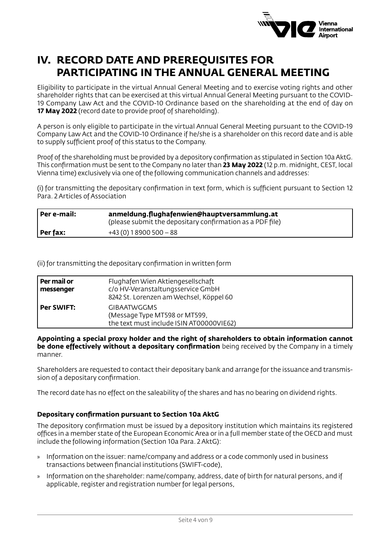

# **IV. RECORD DATE AND PREREQUISITES FOR PARTICIPATING IN THE ANNUAL GENERAL MEETING**

Eligibility to participate in the virtual Annual General Meeting and to exercise voting rights and other shareholder rights that can be exercised at this virtual Annual General Meeting pursuant to the COVID-19 Company Law Act and the COVID-10 Ordinance based on the shareholding at the end of day on **17 May 2022** (record date to provide proof of shareholding).

A person is only eligible to participate in the virtual Annual General Meeting pursuant to the COVID-19 Company Law Act and the COVID-10 Ordinance if he/she is a shareholder on this record date and is able to supply sufficient proof of this status to the Company.

Proof of the shareholding must be provided by a depository confirmation as stipulated in Section 10a AktG. This confirmation must be sent to the Company no later than **23 May 2022** (12 p.m. midnight, CEST, local Vienna time) exclusively via one of the following communication channels and addresses:

(i) for transmitting the depositary confirmation in text form, which is sufficient pursuant to Section 12 Para. 2 Articles of Association

| Per e-mail: | anmeldung.flughafenwien@hauptversammlung.at<br>(please submit the depositary confirmation as a PDF file) |
|-------------|----------------------------------------------------------------------------------------------------------|
| Per fax:    | $+43(0)$ 1 8900 500 $-88$                                                                                |

(ii) for transmitting the depositary confirmation in written form

| Per mail or<br>messenger | Flughafen Wien Aktiengesellschaft<br>c/o HV-Veranstaltungsservice GmbH<br>8242 St. Lorenzen am Wechsel, Köppel 60 |
|--------------------------|-------------------------------------------------------------------------------------------------------------------|
| <b>Per SWIFT:</b>        | <b>GIBAATWGGMS</b><br>(Message Type MT598 or MT599,<br>the text must include ISIN AT00000VIE62)                   |

**Appointing a special proxy holder and the right of shareholders to obtain information cannot be done effectively without a depositary confirmation** being received by the Company in a timely manner.

Shareholders are requested to contact their depositary bank and arrange for the issuance and transmission of a depositary confirmation.

The record date has no effect on the saleability of the shares and has no bearing on dividend rights.

#### **Depositary confirmation pursuant to Section 10a AktG**

The depository confirmation must be issued by a depository institution which maintains its registered offices in a member state of the European Economic Area or in a full member state of the OECD and must include the following information (Section 10a Para. 2 AktG):

- » Information on the issuer: name/company and address or a code commonly used in business transactions between financial institutions (SWIFT-code),
- » Information on the shareholder: name/company, address, date of birth for natural persons, and if applicable, register and registration number for legal persons,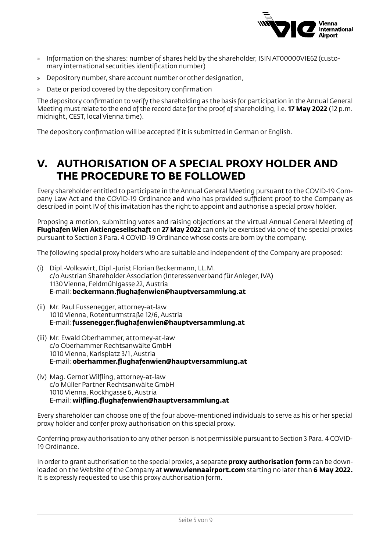

- » Information on the shares: number of shares held by the shareholder, ISIN AT00000VIE62 (customary international securities identification number)
- » Depository number, share account number or other designation,
- » Date or period covered by the depository confirmation

The depository confirmation to verify the shareholding as the basis for participation in the Annual General Meeting must relate to the end of the record date for the proof of shareholding, i.e. **17 May 2022** (12 p.m. midnight, CEST, local Vienna time).

The depository confirmation will be accepted if it is submitted in German or English.

### **V. AUTHORISATION OF A SPECIAL PROXY HOLDER AND THE PROCEDURE TO BE FOLLOWED**

Every shareholder entitled to participate in the Annual General Meeting pursuant to the COVID-19 Company Law Act and the COVID-19 Ordinance and who has provided sufficient proof to the Company as described in point IV of this invitation has the right to appoint and authorise a special proxy holder.

Proposing a motion, submitting votes and raising objections at the virtual Annual General Meeting of **Flughafen Wien Aktiengesellschaft** on **27 May 2022** can only be exercised via one of the special proxies pursuant to Section 3 Para. 4 COVID-19 Ordinance whose costs are born by the company.

The following special proxy holders who are suitable and independent of the Company are proposed:

- (i) Dipl.-Volkswirt, Dipl.-Jurist Florian Beckermann, LL.M. c/o Austrian Shareholder Association (Interessenverband für Anleger, IVA) 1130 Vienna, Feldmühlgasse 22, Austria E-mail: **beckermann.flughafenwien@hauptversammlung.at**
- (ii) Mr. Paul Fussenegger, attorney-at-law 1010 Vienna, Rotenturmstraße 12/6, Austria E-mail: **fussenegger.flughafenwien@hauptversammlung.at**
- (iii) Mr. Ewald Oberhammer, attorney-at-law c/o Oberhammer Rechtsanwälte GmbH 1010 Vienna, Karlsplatz 3/1, Austria E-mail: **oberhammer.flughafenwien@hauptversammlung.at**
- (iv) Mag. Gernot Wilfling, attorney-at-law c/o Müller Partner Rechtsanwälte GmbH 1010 Vienna, Rockhgasse 6, Austria E-mail: **wilfling.flughafenwien@hauptversammlung.at**

Every shareholder can choose one of the four above-mentioned individuals to serve as his or her special proxy holder and confer proxy authorisation on this special proxy.

Conferring proxy authorisation to any other person is not permissible pursuant to Section 3 Para. 4 COVID-19 Ordinance.

In order to grant authorisation to the special proxies, a separate **proxy authorisation form** can be downloaded on the Website of the Company at **www.viennaairport.com** starting no later than **6 May 2022.**  It is expressly requested to use this proxy authorisation form.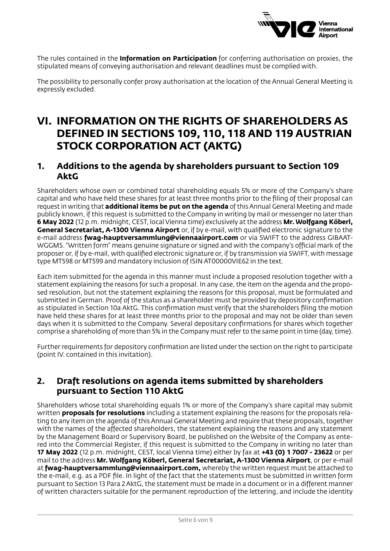

The rules contained in the **Information on Participation** for conferring authorisation on proxies, the stipulated means of conveying authorisation and relevant deadlines must be complied with.

The possibility to personally confer proxy authorisation at the location of the Annual General Meeting is expressly excluded.

### **VI. INFORMATION ON THE RIGHTS OF SHAREHOLDERS AS DEFINED IN SECTIONS 109, 110, 118 AND 119 AUSTRIAN STOCK CORPORATION ACT (AKTG)**

#### **1. Additions to the agenda by shareholders pursuant to Section 109 AktG**

Shareholders whose own or combined total shareholding equals 5% or more of the Company's share capital and who have held these shares for at least three months prior to the filing of their proposal can request in writing that **additional items be put on the agenda** of this Annual General Meeting and made publicly known, if this request is submitted to the Company in writing by mail or messenger no later than **6 May 2022** (12 p.m. midnight, CEST, local Vienna time) exclusively at the address **Mr. Wolfgang Köberl, General Secretariat, A-1300 Vienna Airport** or, if by e-mail, with qualified electronic signature to the e-mail address **fwag-hauptversammlung@viennaairport.com** or via SWIFT to the address GIBAAT-WGGMS. "Written form" means genuine signature or signed and with the company's official mark of the proposer or, if by e-mail, with qualified electronic signature or, if by transmission via SWIFT, with message type MT598 or MT599 and mandatory inclusion of ISIN AT00000VIE62 in the text.

Each item submitted for the agenda in this manner must include a proposed resolution together with a statement explaining the reasons for such a proposal. In any case, the item on the agenda and the proposed resolution, but not the statement explaining the reasons for this proposal, must be formulated and submitted in German. Proof of the status as a shareholder must be provided by depository confirmation as stipulated in Section 10a AktG. This confirmation must verify that the shareholders filing the motion have held these shares for at least three months prior to the proposal and may not be older than seven days when it is submitted to the Company. Several depositary confirmations for shares which together comprise a shareholding of more than 5% in the Company must refer to the same point in time (day, time).

Further requirements for depository confirmation are listed under the section on the right to participate (point IV. contained in this invitation).

#### **2. Draft resolutions on agenda items submitted by shareholders pursuant to Section 110 AktG**

Shareholders whose total shareholding equals 1% or more of the Company's share capital may submit written **proposals for resolutions** including a statement explaining the reasons for the proposals relating to any item on the agenda of this Annual General Meeting and require that these proposals, together with the names of the affected shareholders, the statement explaining the reasons and any statement by the Management Board or Supervisory Board, be published on the Website of the Company as entered into the Commercial Register, if this request is submitted to the Company in writing no later than **17 May 2022** (12 p.m. midnight, CEST, local Vienna time) either by fax at **+43 (0) 1 7007 - 23622** or per mail to the address **Mr. Wolfgang Köberl, General Secretariat, A-1300 Vienna Airport**, or per e-mail at **fwag-hauptversammlung@viennaairport.com,** whereby the written request must be attached to the e-mail, e.g. as a PDF file. In light of the fact that the statements must be submitted in written form pursuant to Section 13 Para 2 AktG, the statement must be made in a document or in a different manner of written characters suitable for the permanent reproduction of the lettering, and include the identity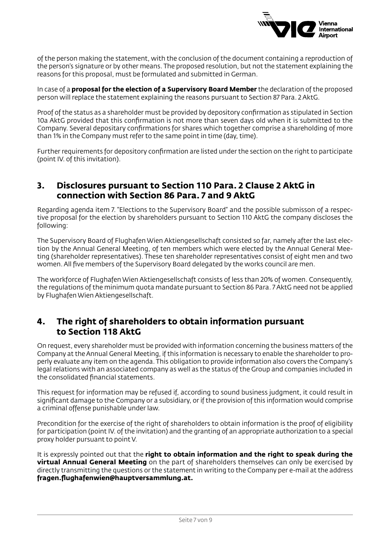

of the person making the statement, with the conclusion of the document containing a reproduction of the person's signature or by other means. The proposed resolution, but not the statement explaining the reasons for this proposal, must be formulated and submitted in German.

In case of a **proposal for the election of a Supervisory Board Member** the declaration of the proposed person will replace the statement explaining the reasons pursuant to Section 87 Para. 2 AktG.

Proof of the status as a shareholder must be provided by depository confirmation as stipulated in Section 10a AktG provided that this confirmation is not more than seven days old when it is submitted to the Company. Several depositary confirmations for shares which together comprise a shareholding of more than 1% in the Company must refer to the same point in time (day, time).

Further requirements for depository confirmation are listed under the section on the right to participate (point IV. of this invitation).

#### **3. Disclosures pursuant to Section 110 Para. 2 Clause 2 AktG in connection with Section 86 Para. 7 and 9 AktG**

Regarding agenda item 7. "Elections to the Supervisory Board" and the possible submisson of a respective proposal for the election by shareholders pursuant to Section 110 AktG the company discloses the following:

The Supervisory Board of Flughafen Wien Aktiengesellschaft consisted so far, namely after the last election by the Annual General Meeting, of ten members which were elected by the Annual General Meeting (shareholder representatives). These ten shareholder representatives consist of eight men and two women. All five members of the Supervisory Board delegated by the works council are men.

The workforce of Flughafen Wien Aktiengesellschaft consists of less than 20% of women. Consequently, the regulations of the minimum quota mandate pursuant to Section 86 Para. 7 AktG need not be applied by Flughafen Wien Aktiengesellschaft.

#### **4. The right of shareholders to obtain information pursuant to Section 118 AktG**

On request, every shareholder must be provided with information concerning the business matters of the Company at the Annual General Meeting, if this information is necessary to enable the shareholder to properly evaluate any item on the agenda. This obligation to provide information also covers the Company's legal relations with an associated company as well as the status of the Group and companies included in the consolidated financial statements.

This request for information may be refused if, according to sound business judgment, it could result in significant damage to the Company or a subsidiary, or if the provision of this information would comprise a criminal offense punishable under law.

Precondition for the exercise of the right of shareholders to obtain information is the proof of eligibility for participation (point IV. of the invitation) and the granting of an appropriate authorization to a special proxy holder pursuant to point V.

It is expressly pointed out that the **right to obtain information and the right to speak during the virtual Annual General Meeting** on the part of shareholders themselves can only be exercised by directly transmitting the questions or the statement in writing to the Company per e-mail at the address **fragen.flughafenwien@hauptversammlung.at.**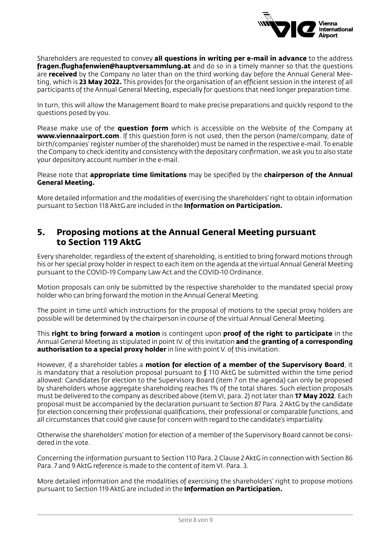

Shareholders are requested to convey **all questions in writing per e-mail in advance** to the address **fragen.flughafenwien@hauptversammlung.at** and do so in a timely manner so that the questions are **received** by the Company no later than on the third working day before the Annual General Meeting, which is **23 May 2022.** This provides for the organisation of an efficient session in the interest of all participants of the Annual General Meeting, especially for questions that need longer preparation time.

In turn, this will allow the Management Board to make precise preparations and quickly respond to the questions posed by you.

Please make use of the **question form** which is accessible on the Website of the Company at **www.viennaairport.com**. If this question form is not used, then the person (name/company, date of birth/companies' register number of the shareholder) must be named in the respective e-mail. To enable the Company to check identity and consistency with the depositary confirmation, we ask you to also state your depository account number in the e-mail.

Please note that **appropriate time limitations** may be specified by the **chairperson of the Annual General Meeting.**

More detailed information and the modalities of exercising the shareholders' right to obtain information pursuant to Section 118 AktG are included in the **Information on Participation.**

#### **5. Proposing motions at the Annual General Meeting pursuant to Section 119 AktG**

Every shareholder, regardless of the extent of shareholding, is entitled to bring forward motions through his or her special proxy holder in respect to each item on the agenda at the virtual Annual General Meeting pursuant to the COVID-19 Company Law Act and the COVID-10 Ordinance.

Motion proposals can only be submitted by the respective shareholder to the mandated special proxy holder who can bring forward the motion in the Annual General Meeting.

The point in time until which instructions for the proposal of motions to the special proxy holders are possible will be determined by the chairperson in course of the virtual Annual General Meeting.

This **right to bring forward a motion** is contingent upon **proof of the right to participate** in the Annual General Meeting as stipulated in point IV. of this invitation **and** the **granting of a corresponding authorisation to a special proxy holder** in line with point V. of this invitation.

However, if a shareholder tables a **motion for election of a member of the Supervisory Board**, it is mandatory that a resolution proposal pursuant to § 110 AktG be submitted within the time period allowed: Candidates for election to the Supervisory Board (item 7 on the agenda) can only be proposed by shareholders whose aggregate shareholding reaches 1% of the total shares. Such election proposals must be delivered to the company as described above (item VI, para. 2) not later than **17 May 2022**. Each proposal must be accompanied by the declaration pursuant to Section 87 Para. 2 AktG by the candidate for election concerning their professional qualifications, their professional or comparable functions, and all circumstances that could give cause for concern with regard to the candidate's impartiality.

Otherwise the shareholders' motion for election of a member of the Supervisory Board cannot be considered in the vote.

Concerning the information pursuant to Section 110 Para. 2 Clause 2 AktG in connection with Section 86 Para. 7 and 9 AktG reference is made to the content of item VI. Para. 3.

More detailed information and the modalities of exercising the shareholders' right to propose motions pursuant to Section 119 AktG are included in the **Information on Participation.**